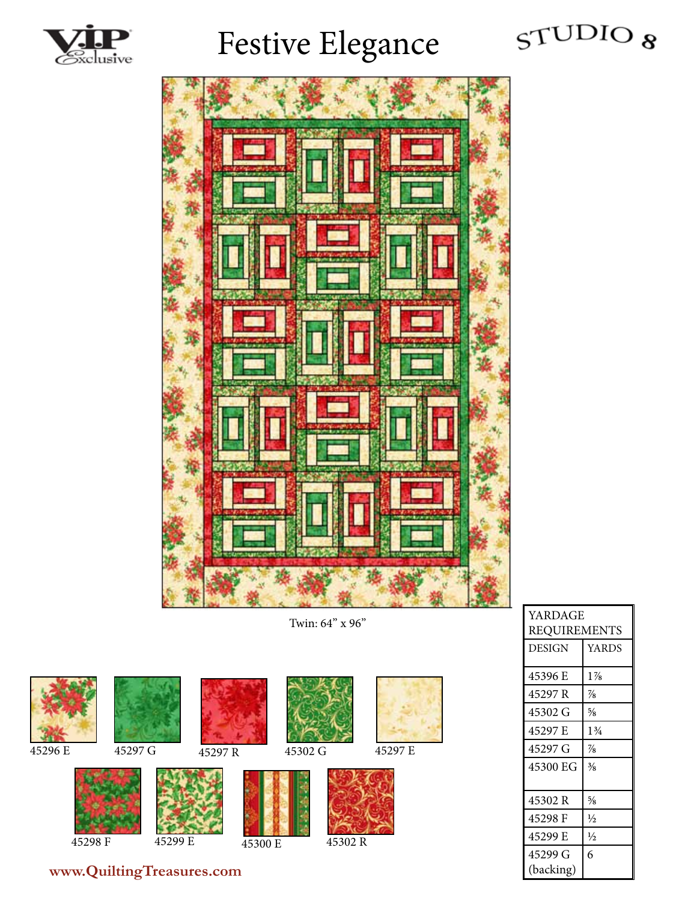

# Festive Elegance





Twin: 64" x 96"



45298 F 45299 E 45300 E 45302 R

| YARDAGE<br><b>REQUIREMENTS</b> |                |  |  |  |
|--------------------------------|----------------|--|--|--|
| <b>DESIGN</b>                  | <b>YARDS</b>   |  |  |  |
| 45396 E                        | $1\%$          |  |  |  |
| 45297 R                        | $\frac{7}{8}$  |  |  |  |
| 45302 G                        | $\frac{5}{8}$  |  |  |  |
| 45297 E                        | $1\frac{3}{4}$ |  |  |  |
| 45297 G                        | $\frac{7}{8}$  |  |  |  |
| 45300 EG                       | $\frac{3}{8}$  |  |  |  |
|                                |                |  |  |  |
| 45302 R                        | $\frac{5}{8}$  |  |  |  |
| 45298 F                        | $\frac{1}{2}$  |  |  |  |
| 45299 E                        | $\frac{1}{2}$  |  |  |  |
| 45299 G                        | 6              |  |  |  |
| (backing)                      |                |  |  |  |

**www.QuiltingTreasures.com**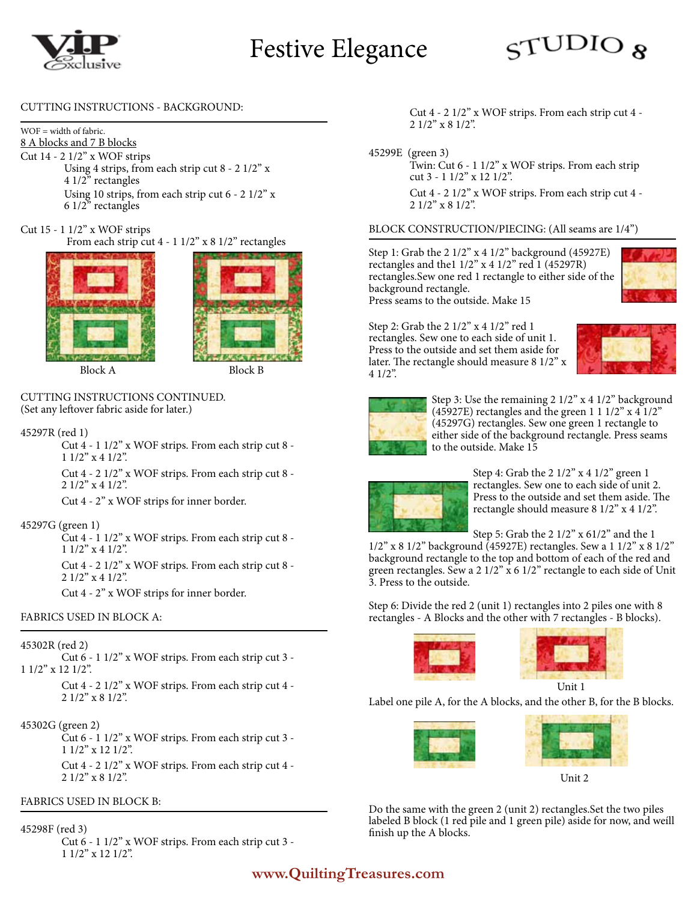

### Festive Elegance

## $\varsigma$ TUDIC

#### CUTTING INSTRUCTIONS - BACKGROUND:

WOF = width of fabric.

- 8 A blocks and 7 B blocks
- Cut 14 2 1/2" x WOF strips
	- Using 4 strips, from each strip cut 8 2 1/2" x 4 1/2" rectangles
	- Using 10 strips, from each strip cut 6 2 1/2" x 6 1/2" rectangles

#### Cut 15 - 1 1/2" x WOF strips

From each strip cut 4 - 1 1/2" x 8 1/2" rectangles





Block A Block B

CUTTING INSTRUCTIONS CONTINUED. (Set any leftover fabric aside for later.)

- 45297R (red 1)
	- Cut 4 1 1/2" x WOF strips. From each strip cut 8 1 1/2" x 4 1/2".

Cut 4 - 2 1/2" x WOF strips. From each strip cut 8 - 2 1/2" x 4 1/2".

Cut 4 - 2" x WOF strips for inner border.

#### 45297G (green 1)

Cut 4 - 1 1/2" x WOF strips. From each strip cut 8 - 1 1/2" x 4 1/2".

Cut 4 - 2 1/2" x WOF strips. From each strip cut 8 - 2 1/2" x 4 1/2".

Cut 4 - 2" x WOF strips for inner border.

#### FABRICS USED IN BLOCK A:

#### 45302R (red 2)

Cut 6 - 1 1/2" x WOF strips. From each strip cut 3 - 1 1/2" x 12 1/2".

> Cut 4 - 2 1/2" x WOF strips. From each strip cut 4 - 2 1/2" x 8 1/2".

45302G (green 2)

Cut 6 - 1 1/2" x WOF strips. From each strip cut 3 - 1 1/2" x 12 1/2".

Cut 4 - 2 1/2" x WOF strips. From each strip cut 4 - 2 1/2" x 8 1/2".

#### FABRICS USED IN BLOCK B:

45298F (red 3) Cut 6 - 1 1/2" x WOF strips. From each strip cut 3 - 1 1/2" x 12 1/2".

Cut 4 - 2 1/2" x WOF strips. From each strip cut 4 - 2 1/2" x 8 1/2".

45299E (green 3) Twin: Cut 6 - 1 1/2" x WOF strips. From each strip cut 3 - 1 1/2" x 12 1/2".

> Cut 4 - 2 1/2" x WOF strips. From each strip cut 4 - 2 1/2" x 8 1/2".

BLOCK CONSTRUCTION/PIECING: (All seams are 1/4")

Step 1: Grab the 2 1/2" x 4 1/2" background (45927E) rectangles and the1 1/2" x 4 1/2" red 1 (45297R) rectangles.Sew one red 1 rectangle to either side of the background rectangle.

Press seams to the outside. Make 15

Step 2: Grab the 2 1/2" x 4 1/2" red 1 rectangles. Sew one to each side of unit 1. Press to the outside and set them aside for later. The rectangle should measure 8 1/2" x 4 1/2".



Step 3: Use the remaining 2 1/2" x 4 1/2" background (45927E) rectangles and the green 1 1 1/2" x 4 1/2" (45297G) rectangles. Sew one green 1 rectangle to either side of the background rectangle. Press seams to the outside. Make 15



Step 4: Grab the 2 1/2" x 4 1/2" green 1 rectangles. Sew one to each side of unit 2. Press to the outside and set them aside. The rectangle should measure 8 1/2" x 4 1/2".

Step 5: Grab the 2 1/2" x 61/2" and the 1

1/2" x 8 1/2" background (45927E) rectangles. Sew a 1 1/2" x 8 1/2" background rectangle to the top and bottom of each of the red and green rectangles. Sew a 2 1/2" x 6 1/2" rectangle to each side of Unit 3. Press to the outside.

Step 6: Divide the red 2 (unit 1) rectangles into 2 piles one with 8 rectangles - A Blocks and the other with 7 rectangles - B blocks).



finish up the A blocks.



Unit 1

Label one pile A, for the A blocks, and the other B, for the B blocks.



Do the same with the green 2 (unit 2) rectangles.Set the two piles labeled B block (1 red pile and 1 green pile) aside for now, and weíll

### **www.QuiltingTreasures.com**